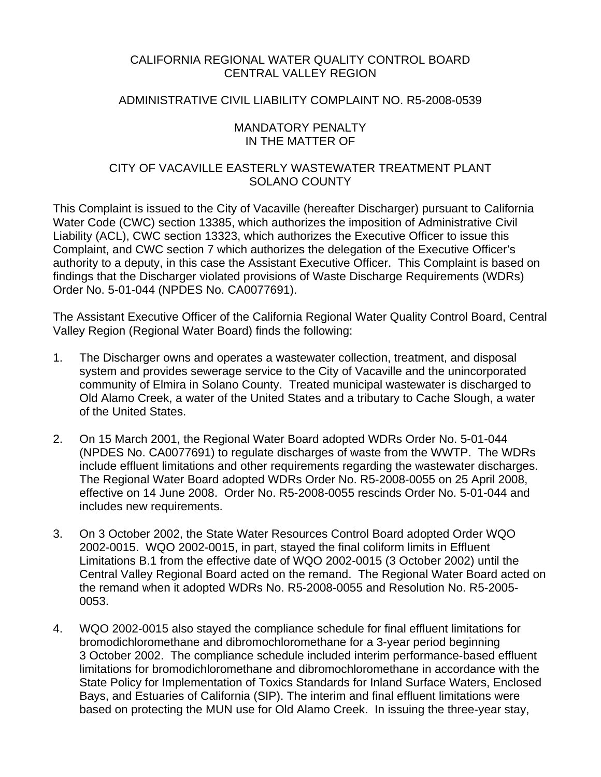## CALIFORNIA REGIONAL WATER QUALITY CONTROL BOARD CENTRAL VALLEY REGION

## ADMINISTRATIVE CIVIL LIABILITY COMPLAINT NO. R5-2008-0539

### MANDATORY PENALTY IN THE MATTER OF

## CITY OF VACAVILLE EASTERLY WASTEWATER TREATMENT PLANT SOLANO COUNTY

This Complaint is issued to the City of Vacaville (hereafter Discharger) pursuant to California Water Code (CWC) section 13385, which authorizes the imposition of Administrative Civil Liability (ACL), CWC section 13323, which authorizes the Executive Officer to issue this Complaint, and CWC section 7 which authorizes the delegation of the Executive Officer's authority to a deputy, in this case the Assistant Executive Officer. This Complaint is based on findings that the Discharger violated provisions of Waste Discharge Requirements (WDRs) Order No. 5-01-044 (NPDES No. CA0077691).

The Assistant Executive Officer of the California Regional Water Quality Control Board, Central Valley Region (Regional Water Board) finds the following:

- 1. The Discharger owns and operates a wastewater collection, treatment, and disposal system and provides sewerage service to the City of Vacaville and the unincorporated community of Elmira in Solano County. Treated municipal wastewater is discharged to Old Alamo Creek, a water of the United States and a tributary to Cache Slough, a water of the United States.
- 2. On 15 March 2001, the Regional Water Board adopted WDRs Order No. 5-01-044 (NPDES No. CA0077691) to regulate discharges of waste from the WWTP. The WDRs include effluent limitations and other requirements regarding the wastewater discharges. The Regional Water Board adopted WDRs Order No. R5-2008-0055 on 25 April 2008, effective on 14 June 2008. Order No. R5-2008-0055 rescinds Order No. 5-01-044 and includes new requirements.
- 3. On 3 October 2002, the State Water Resources Control Board adopted Order WQO 2002-0015. WQO 2002-0015, in part, stayed the final coliform limits in Effluent Limitations B.1 from the effective date of WQO 2002-0015 (3 October 2002) until the Central Valley Regional Board acted on the remand. The Regional Water Board acted on the remand when it adopted WDRs No. R5-2008-0055 and Resolution No. R5-2005- 0053.
- 4. WQO 2002-0015 also stayed the compliance schedule for final effluent limitations for bromodichloromethane and dibromochloromethane for a 3-year period beginning 3 October 2002. The compliance schedule included interim performance-based effluent limitations for bromodichloromethane and dibromochloromethane in accordance with the State Policy for Implementation of Toxics Standards for Inland Surface Waters, Enclosed Bays, and Estuaries of California (SIP). The interim and final effluent limitations were based on protecting the MUN use for Old Alamo Creek. In issuing the three-year stay,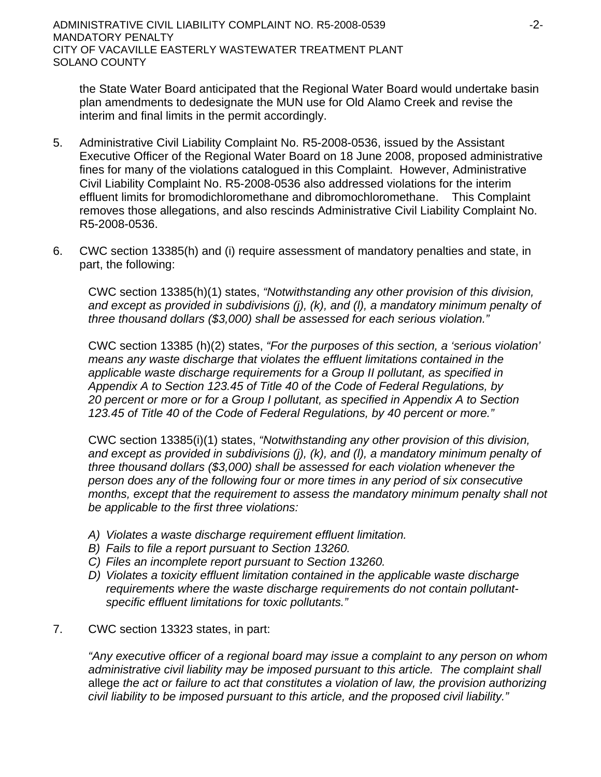ADMINISTRATIVE CIVIL LIABILITY COMPLAINT NO. R5-2008-0539  $-2$ -MANDATORY PENALTY CITY OF VACAVILLE EASTERLY WASTEWATER TREATMENT PLANT SOLANO COUNTY

the State Water Board anticipated that the Regional Water Board would undertake basin plan amendments to dedesignate the MUN use for Old Alamo Creek and revise the interim and final limits in the permit accordingly.

- 5. Administrative Civil Liability Complaint No. R5-2008-0536, issued by the Assistant Executive Officer of the Regional Water Board on 18 June 2008, proposed administrative fines for many of the violations catalogued in this Complaint. However, Administrative Civil Liability Complaint No. R5-2008-0536 also addressed violations for the interim effluent limits for bromodichloromethane and dibromochloromethane. This Complaint removes those allegations, and also rescinds Administrative Civil Liability Complaint No. R5-2008-0536.
- 6. CWC section 13385(h) and (i) require assessment of mandatory penalties and state, in part, the following:

CWC section 13385(h)(1) states, *"Notwithstanding any other provision of this division, and except as provided in subdivisions (j), (k), and (l), a mandatory minimum penalty of three thousand dollars (\$3,000) shall be assessed for each serious violation."* 

CWC section 13385 (h)(2) states, *"For the purposes of this section, a 'serious violation' means any waste discharge that violates the effluent limitations contained in the applicable waste discharge requirements for a Group II pollutant, as specified in Appendix A to Section 123.45 of Title 40 of the Code of Federal Regulations, by 20 percent or more or for a Group I pollutant, as specified in Appendix A to Section 123.45 of Title 40 of the Code of Federal Regulations, by 40 percent or more."*

CWC section 13385(i)(1) states, *"Notwithstanding any other provision of this division, and except as provided in subdivisions (j), (k), and (l), a mandatory minimum penalty of three thousand dollars (\$3,000) shall be assessed for each violation whenever the person does any of the following four or more times in any period of six consecutive months, except that the requirement to assess the mandatory minimum penalty shall not be applicable to the first three violations:*

- *A) Violates a waste discharge requirement effluent limitation.*
- *B) Fails to file a report pursuant to Section 13260.*
- *C) Files an incomplete report pursuant to Section 13260.*
- *D) Violates a toxicity effluent limitation contained in the applicable waste discharge requirements where the waste discharge requirements do not contain pollutantspecific effluent limitations for toxic pollutants."*

## 7. CWC section 13323 states, in part:

*"Any executive officer of a regional board may issue a complaint to any person on whom administrative civil liability may be imposed pursuant to this article. The complaint shall*  allege *the act or failure to act that constitutes a violation of law, the provision authorizing civil liability to be imposed pursuant to this article, and the proposed civil liability."*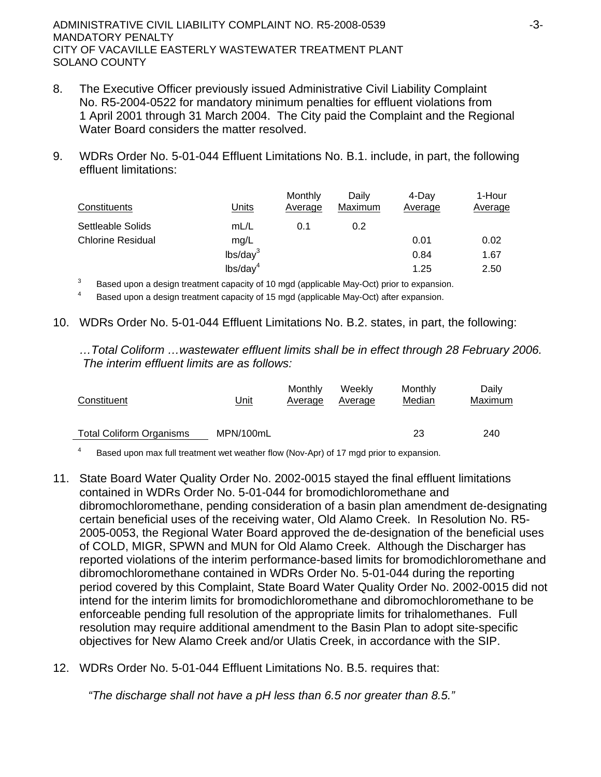- 8. The Executive Officer previously issued Administrative Civil Liability Complaint No. R5-2004-0522 for mandatory minimum penalties for effluent violations from 1 April 2001 through 31 March 2004. The City paid the Complaint and the Regional Water Board considers the matter resolved.
- 9. WDRs Order No. 5-01-044 Effluent Limitations No. B.1. include, in part, the following effluent limitations:

| Constituents             | Units                         | Monthly<br>Average | Daily<br>Maximum | 4-Dav<br>Average | 1-Hour<br>Average |
|--------------------------|-------------------------------|--------------------|------------------|------------------|-------------------|
| Settleable Solids        | mL/L                          | 0.1                | 0.2              |                  |                   |
| <b>Chlorine Residual</b> | mg/L                          |                    |                  | 0.01             | 0.02              |
|                          | lbs/day <sup>3</sup>          |                    |                  | 0.84             | 1.67              |
|                          | $\textsf{lbs}/\textsf{day}^4$ |                    |                  | 1.25             | 2.50              |

3 Based upon a design treatment capacity of 10 mgd (applicable May-Oct) prior to expansion.<br>
<sup>4</sup> Based upon a design treatment capacity of 15 mgd (applicable May-Oct) after expansion.

10. WDRs Order No. 5-01-044 Effluent Limitations No. B.2. states, in part, the following:

*…Total Coliform …wastewater effluent limits shall be in effect through 28 February 2006. The interim effluent limits are as follows:* 

| Constituent                     | <u>Unit</u> | Monthly<br>Average | Weekly<br>Average | Monthly<br>Median | Daily<br>Maximum |
|---------------------------------|-------------|--------------------|-------------------|-------------------|------------------|
| <b>Total Coliform Organisms</b> | MPN/100mL   |                    |                   | 23                | 240              |

4 Based upon max full treatment wet weather flow (Nov-Apr) of 17 mgd prior to expansion.

- 11. State Board Water Quality Order No. 2002-0015 stayed the final effluent limitations contained in WDRs Order No. 5-01-044 for bromodichloromethane and dibromochloromethane, pending consideration of a basin plan amendment de-designating certain beneficial uses of the receiving water, Old Alamo Creek. In Resolution No. R5- 2005-0053, the Regional Water Board approved the de-designation of the beneficial uses of COLD, MIGR, SPWN and MUN for Old Alamo Creek. Although the Discharger has reported violations of the interim performance-based limits for bromodichloromethane and dibromochloromethane contained in WDRs Order No. 5-01-044 during the reporting period covered by this Complaint, State Board Water Quality Order No. 2002-0015 did not intend for the interim limits for bromodichloromethane and dibromochloromethane to be enforceable pending full resolution of the appropriate limits for trihalomethanes. Full resolution may require additional amendment to the Basin Plan to adopt site-specific objectives for New Alamo Creek and/or Ulatis Creek, in accordance with the SIP.
- 12. WDRs Order No. 5-01-044 Effluent Limitations No. B.5. requires that:

*"The discharge shall not have a pH less than 6.5 nor greater than 8.5."*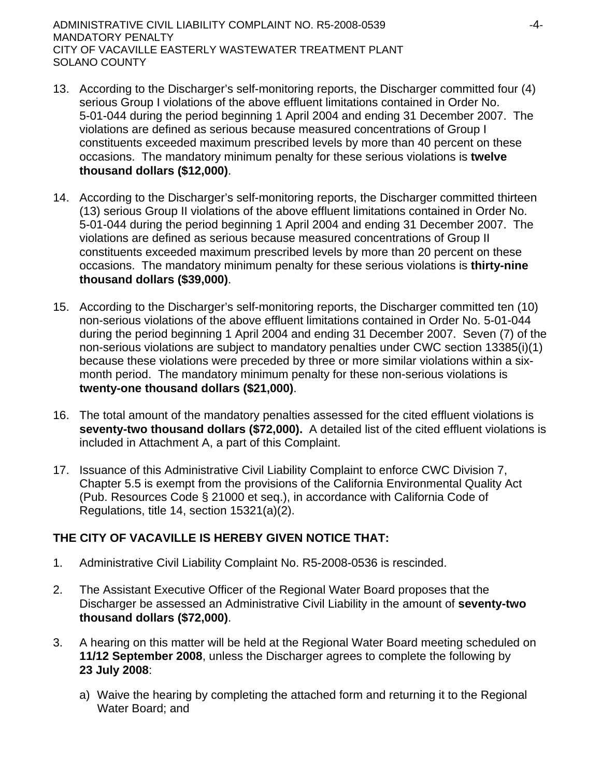- 13. According to the Discharger's self-monitoring reports, the Discharger committed four (4) serious Group I violations of the above effluent limitations contained in Order No. 5-01-044 during the period beginning 1 April 2004 and ending 31 December 2007. The violations are defined as serious because measured concentrations of Group I constituents exceeded maximum prescribed levels by more than 40 percent on these occasions. The mandatory minimum penalty for these serious violations is **twelve thousand dollars (\$12,000)**.
- 14. According to the Discharger's self-monitoring reports, the Discharger committed thirteen (13) serious Group II violations of the above effluent limitations contained in Order No. 5-01-044 during the period beginning 1 April 2004 and ending 31 December 2007. The violations are defined as serious because measured concentrations of Group II constituents exceeded maximum prescribed levels by more than 20 percent on these occasions. The mandatory minimum penalty for these serious violations is **thirty-nine thousand dollars (\$39,000)**.
- 15. According to the Discharger's self-monitoring reports, the Discharger committed ten (10) non-serious violations of the above effluent limitations contained in Order No. 5-01-044 during the period beginning 1 April 2004 and ending 31 December 2007. Seven (7) of the non-serious violations are subject to mandatory penalties under CWC section 13385(i)(1) because these violations were preceded by three or more similar violations within a sixmonth period. The mandatory minimum penalty for these non-serious violations is **twenty-one thousand dollars (\$21,000)**.
- 16. The total amount of the mandatory penalties assessed for the cited effluent violations is **seventy-two thousand dollars (\$72,000).** A detailed list of the cited effluent violations is included in Attachment A, a part of this Complaint.
- 17. Issuance of this Administrative Civil Liability Complaint to enforce CWC Division 7, Chapter 5.5 is exempt from the provisions of the California Environmental Quality Act (Pub. Resources Code § 21000 et seq.), in accordance with California Code of Regulations, title 14, section 15321(a)(2).

# **THE CITY OF VACAVILLE IS HEREBY GIVEN NOTICE THAT:**

- 1. Administrative Civil Liability Complaint No. R5-2008-0536 is rescinded.
- 2. The Assistant Executive Officer of the Regional Water Board proposes that the Discharger be assessed an Administrative Civil Liability in the amount of **seventy-two thousand dollars (\$72,000)**.
- 3. A hearing on this matter will be held at the Regional Water Board meeting scheduled on **11/12 September 2008**, unless the Discharger agrees to complete the following by **23 July 2008**:
	- a) Waive the hearing by completing the attached form and returning it to the Regional Water Board; and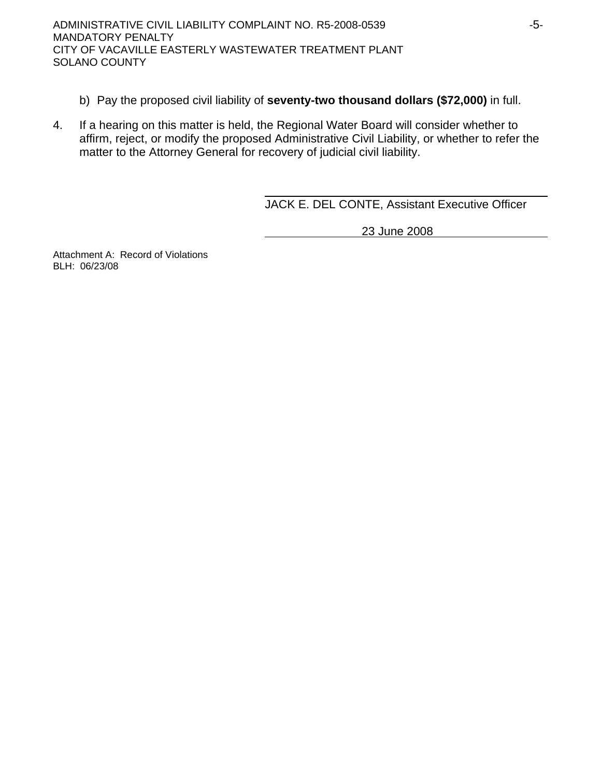- b) Pay the proposed civil liability of **seventy-two thousand dollars (\$72,000)** in full.
- 4. If a hearing on this matter is held, the Regional Water Board will consider whether to affirm, reject, or modify the proposed Administrative Civil Liability, or whether to refer the matter to the Attorney General for recovery of judicial civil liability.

JACK E. DEL CONTE, Assistant Executive Officer

23 June 2008

Attachment A: Record of Violations BLH: 06/23/08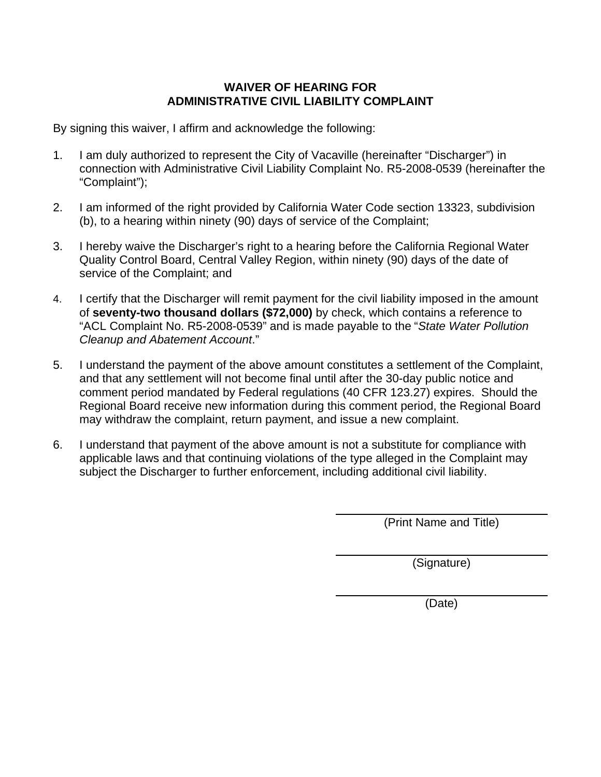## **WAIVER OF HEARING FOR ADMINISTRATIVE CIVIL LIABILITY COMPLAINT**

By signing this waiver, I affirm and acknowledge the following:

- 1. I am duly authorized to represent the City of Vacaville (hereinafter "Discharger") in connection with Administrative Civil Liability Complaint No. R5-2008-0539 (hereinafter the "Complaint");
- 2. I am informed of the right provided by California Water Code section 13323, subdivision (b), to a hearing within ninety (90) days of service of the Complaint;
- 3. I hereby waive the Discharger's right to a hearing before the California Regional Water Quality Control Board, Central Valley Region, within ninety (90) days of the date of service of the Complaint; and
- 4. I certify that the Discharger will remit payment for the civil liability imposed in the amount of **seventy-two thousand dollars (\$72,000)** by check, which contains a reference to "ACL Complaint No. R5-2008-0539" and is made payable to the "*State Water Pollution Cleanup and Abatement Account*."
- 5. I understand the payment of the above amount constitutes a settlement of the Complaint, and that any settlement will not become final until after the 30-day public notice and comment period mandated by Federal regulations (40 CFR 123.27) expires. Should the Regional Board receive new information during this comment period, the Regional Board may withdraw the complaint, return payment, and issue a new complaint.
- 6. I understand that payment of the above amount is not a substitute for compliance with applicable laws and that continuing violations of the type alleged in the Complaint may subject the Discharger to further enforcement, including additional civil liability.

(Print Name and Title)

(Signature)

(Date)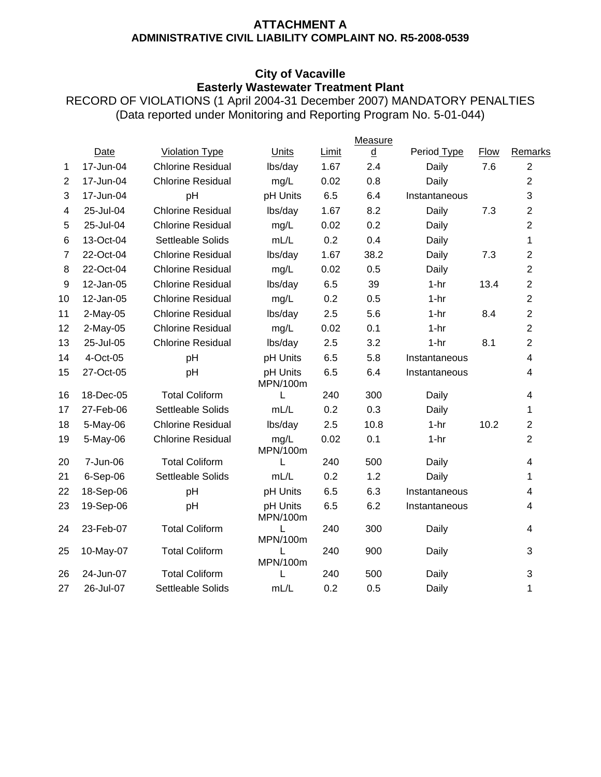## **ATTACHMENT A ADMINISTRATIVE CIVIL LIABILITY COMPLAINT NO. R5-2008-0539**

## **City of Vacaville Easterly Wastewater Treatment Plant**

RECORD OF VIOLATIONS (1 April 2004-31 December 2007) MANDATORY PENALTIES (Data reported under Monitoring and Reporting Program No. 5-01-044)

|                  |             |                          |                      |              | Measure                  |               |             |                |
|------------------|-------------|--------------------------|----------------------|--------------|--------------------------|---------------|-------------|----------------|
|                  | <b>Date</b> | <b>Violation Type</b>    | Units                | <b>Limit</b> | $\underline{\mathtt{d}}$ | Period Type   | <b>Flow</b> | Remarks        |
| 1                | 17-Jun-04   | <b>Chlorine Residual</b> | lbs/day              | 1.67         | 2.4                      | Daily         | 7.6         | $\overline{2}$ |
| $\overline{2}$   | 17-Jun-04   | <b>Chlorine Residual</b> | mg/L                 | 0.02         | 0.8                      | Daily         |             | $\overline{2}$ |
| 3                | 17-Jun-04   | pH                       | pH Units             | 6.5          | 6.4                      | Instantaneous |             | 3              |
| 4                | 25-Jul-04   | <b>Chlorine Residual</b> | lbs/day              | 1.67         | 8.2                      | Daily         | 7.3         | $\overline{2}$ |
| 5                | 25-Jul-04   | <b>Chlorine Residual</b> | mg/L                 | 0.02         | 0.2                      | Daily         |             | $\overline{2}$ |
| 6                | 13-Oct-04   | Settleable Solids        | mL/L                 | 0.2          | 0.4                      | Daily         |             | 1              |
| $\overline{7}$   | 22-Oct-04   | <b>Chlorine Residual</b> | lbs/day              | 1.67         | 38.2                     | Daily         | 7.3         | $\overline{2}$ |
| 8                | 22-Oct-04   | <b>Chlorine Residual</b> | mg/L                 | 0.02         | 0.5                      | Daily         |             | $\overline{2}$ |
| $\boldsymbol{9}$ | 12-Jan-05   | <b>Chlorine Residual</b> | lbs/day              | 6.5          | 39                       | $1-hr$        | 13.4        | $\overline{2}$ |
| 10               | 12-Jan-05   | <b>Chlorine Residual</b> | mg/L                 | 0.2          | 0.5                      | $1-hr$        |             | $\overline{2}$ |
| 11               | $2-May-05$  | <b>Chlorine Residual</b> | lbs/day              | 2.5          | 5.6                      | $1-hr$        | 8.4         | $\overline{2}$ |
| 12               | $2-May-05$  | <b>Chlorine Residual</b> | mg/L                 | 0.02         | 0.1                      | $1-hr$        |             | $\overline{2}$ |
| 13               | 25-Jul-05   | <b>Chlorine Residual</b> | lbs/day              | 2.5          | 3.2                      | $1-hr$        | 8.1         | $\overline{2}$ |
| 14               | 4-Oct-05    | pH                       | pH Units             | 6.5          | 5.8                      | Instantaneous |             | $\overline{4}$ |
| 15               | 27-Oct-05   | pH                       | pH Units<br>MPN/100m | 6.5          | 6.4                      | Instantaneous |             | 4              |
| 16               | 18-Dec-05   | <b>Total Coliform</b>    | L                    | 240          | 300                      | Daily         |             | $\overline{4}$ |
| 17               | 27-Feb-06   | Settleable Solids        | mL/L                 | 0.2          | 0.3                      | Daily         |             | 1              |
| 18               | 5-May-06    | <b>Chlorine Residual</b> | lbs/day              | 2.5          | 10.8                     | $1-hr$        | 10.2        | $\overline{2}$ |
| 19               | 5-May-06    | <b>Chlorine Residual</b> | mg/L<br>MPN/100m     | 0.02         | 0.1                      | $1-hr$        |             | $\overline{2}$ |
| 20               | 7-Jun-06    | <b>Total Coliform</b>    | L                    | 240          | 500                      | Daily         |             | $\overline{4}$ |
| 21               | 6-Sep-06    | Settleable Solids        | mL/L                 | 0.2          | 1.2                      | Daily         |             | 1              |
| 22               | 18-Sep-06   | pH                       | pH Units             | 6.5          | 6.3                      | Instantaneous |             | 4              |
| 23               | 19-Sep-06   | pH                       | pH Units<br>MPN/100m | 6.5          | 6.2                      | Instantaneous |             | $\overline{4}$ |
| 24               | 23-Feb-07   | <b>Total Coliform</b>    | L<br>MPN/100m        | 240          | 300                      | Daily         |             | 4              |
| 25               | 10-May-07   | <b>Total Coliform</b>    | L<br>MPN/100m        | 240          | 900                      | Daily         |             | 3              |
| 26               | 24-Jun-07   | <b>Total Coliform</b>    | L                    | 240          | 500                      | Daily         |             | 3              |
| 27               | 26-Jul-07   | Settleable Solids        | mL/L                 | 0.2          | 0.5                      | Daily         |             | 1              |